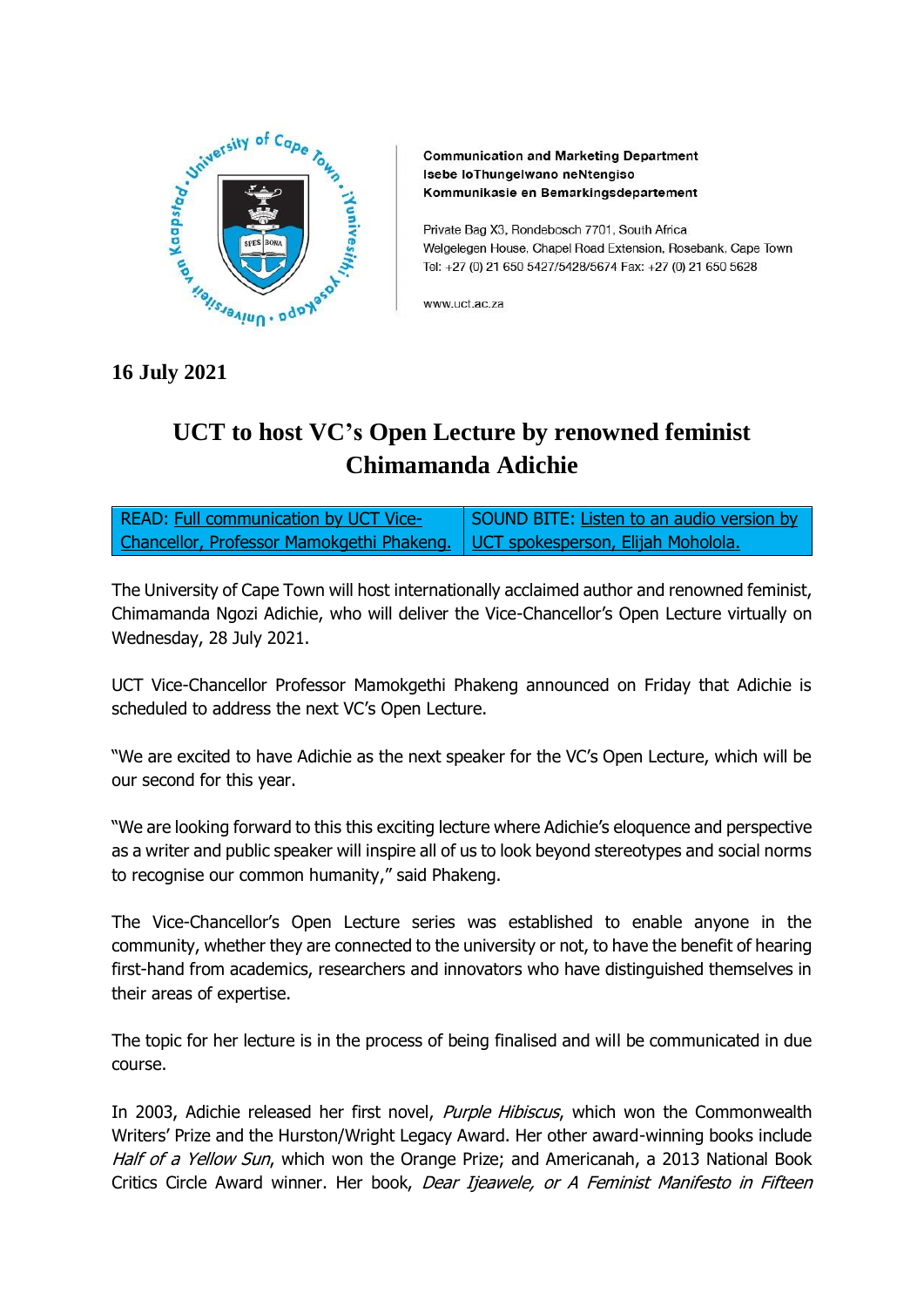

**Communication and Marketing Department** Isebe loThungelwano neNtengiso Kommunikasie en Bemarkingsdepartement

Private Bag X3, Rondebosch 7701, South Africa Welgelegen House, Chapel Road Extension, Rosebank, Cape Town Tel: +27 (0) 21 650 5427/5428/5674 Fax: +27 (0) 21 650 5628

www.uct.ac.za

**16 July 2021**

## **UCT to host VC's Open Lecture by renowned feminist Chimamanda Adichie**

READ: [Full communication by UCT Vice-](https://www.news.uct.ac.za/article/-2021-07-16-vcs-open-lecture-chimamanda-ngozi-adichie)[Chancellor, Professor Mamokgethi Phakeng.](https://www.news.uct.ac.za/article/-2021-07-16-vcs-open-lecture-chimamanda-ngozi-adichie) SOUND BITE: [Listen to an audio version by](https://drive.google.com/file/d/1OhZcI1iQed5fb-b3kdfRD__miTmDDmbP/view?usp=sharing)  [UCT spokesperson, Elijah Moholola.](https://drive.google.com/file/d/1OhZcI1iQed5fb-b3kdfRD__miTmDDmbP/view?usp=sharing)

The University of Cape Town will host internationally acclaimed author and renowned feminist, Chimamanda Ngozi Adichie, who will deliver the Vice-Chancellor's Open Lecture virtually on Wednesday, 28 July 2021.

UCT Vice-Chancellor Professor Mamokgethi Phakeng announced on Friday that Adichie is scheduled to address the next VC's Open Lecture.

"We are excited to have Adichie as the next speaker for the VC's Open Lecture, which will be our second for this year.

"We are looking forward to this this exciting lecture where Adichie's eloquence and perspective as a writer and public speaker will inspire all of us to look beyond stereotypes and social norms to recognise our common humanity," said Phakeng.

The Vice-Chancellor's Open Lecture series was established to enable anyone in the community, whether they are connected to the university or not, to have the benefit of hearing first-hand from academics, researchers and innovators who have distinguished themselves in their areas of expertise.

The topic for her lecture is in the process of being finalised and will be communicated in due course.

In 2003, Adichie released her first novel, *Purple Hibiscus*, which won the Commonwealth Writers' Prize and the Hurston/Wright Legacy Award. Her other award-winning books include Half of a Yellow Sun, which won the Orange Prize; and Americanah, a 2013 National Book Critics Circle Award winner. Her book, Dear Ijeawele, or A Feminist Manifesto in Fifteen